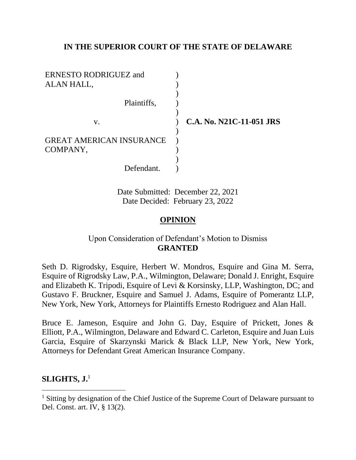# **IN THE SUPERIOR COURT OF THE STATE OF DELAWARE**

| ERNESTO RODRIGUEZ and<br>ALAN HALL,         |                          |
|---------------------------------------------|--------------------------|
| Plaintiffs,                                 |                          |
| V.                                          | C.A. No. N21C-11-051 JRS |
| <b>GREAT AMERICAN INSURANCE</b><br>COMPANY, |                          |
| Defendant.                                  |                          |

Date Submitted: December 22, 2021 Date Decided: February 23, 2022

# **OPINION**

# Upon Consideration of Defendant's Motion to Dismiss **GRANTED**

Seth D. Rigrodsky, Esquire, Herbert W. Mondros, Esquire and Gina M. Serra, Esquire of Rigrodsky Law, P.A., Wilmington, Delaware; Donald J. Enright, Esquire and Elizabeth K. Tripodi, Esquire of Levi & Korsinsky, LLP, Washington, DC; and Gustavo F. Bruckner, Esquire and Samuel J. Adams, Esquire of Pomerantz LLP, New York, New York, Attorneys for Plaintiffs Ernesto Rodriguez and Alan Hall.

Bruce E. Jameson, Esquire and John G. Day, Esquire of Prickett, Jones & Elliott, P.A., Wilmington, Delaware and Edward C. Carleton, Esquire and Juan Luis Garcia, Esquire of Skarzynski Marick & Black LLP, New York, New York, Attorneys for Defendant Great American Insurance Company.

# **SLIGHTS, J.**<sup>1</sup>

<sup>&</sup>lt;sup>1</sup> Sitting by designation of the Chief Justice of the Supreme Court of Delaware pursuant to Del. Const. art. IV, § 13(2).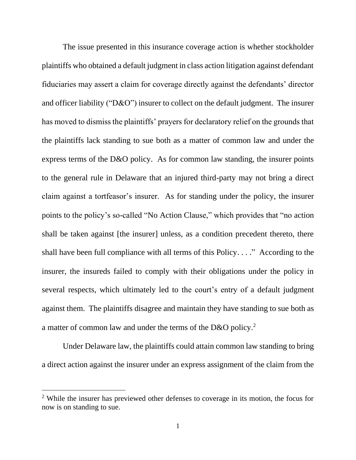The issue presented in this insurance coverage action is whether stockholder plaintiffs who obtained a default judgment in class action litigation against defendant fiduciaries may assert a claim for coverage directly against the defendants' director and officer liability ("D&O") insurer to collect on the default judgment. The insurer has moved to dismiss the plaintiffs' prayers for declaratory relief on the grounds that the plaintiffs lack standing to sue both as a matter of common law and under the express terms of the D&O policy. As for common law standing, the insurer points to the general rule in Delaware that an injured third-party may not bring a direct claim against a tortfeasor's insurer. As for standing under the policy, the insurer points to the policy's so-called "No Action Clause," which provides that "no action shall be taken against [the insurer] unless, as a condition precedent thereto, there shall have been full compliance with all terms of this Policy. . . ." According to the insurer, the insureds failed to comply with their obligations under the policy in several respects, which ultimately led to the court's entry of a default judgment against them. The plaintiffs disagree and maintain they have standing to sue both as a matter of common law and under the terms of the D&O policy.<sup>2</sup>

Under Delaware law, the plaintiffs could attain common law standing to bring a direct action against the insurer under an express assignment of the claim from the

<sup>&</sup>lt;sup>2</sup> While the insurer has previewed other defenses to coverage in its motion, the focus for now is on standing to sue.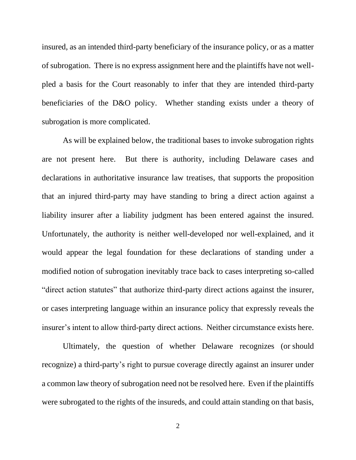insured, as an intended third-party beneficiary of the insurance policy, or as a matter of subrogation. There is no express assignment here and the plaintiffs have not wellpled a basis for the Court reasonably to infer that they are intended third-party beneficiaries of the D&O policy. Whether standing exists under a theory of subrogation is more complicated.

As will be explained below, the traditional bases to invoke subrogation rights are not present here. But there is authority, including Delaware cases and declarations in authoritative insurance law treatises, that supports the proposition that an injured third-party may have standing to bring a direct action against a liability insurer after a liability judgment has been entered against the insured. Unfortunately, the authority is neither well-developed nor well-explained, and it would appear the legal foundation for these declarations of standing under a modified notion of subrogation inevitably trace back to cases interpreting so-called "direct action statutes" that authorize third-party direct actions against the insurer, or cases interpreting language within an insurance policy that expressly reveals the insurer's intent to allow third-party direct actions. Neither circumstance exists here.

Ultimately, the question of whether Delaware recognizes (or should recognize) a third-party's right to pursue coverage directly against an insurer under a common law theory of subrogation need not be resolved here. Even if the plaintiffs were subrogated to the rights of the insureds, and could attain standing on that basis,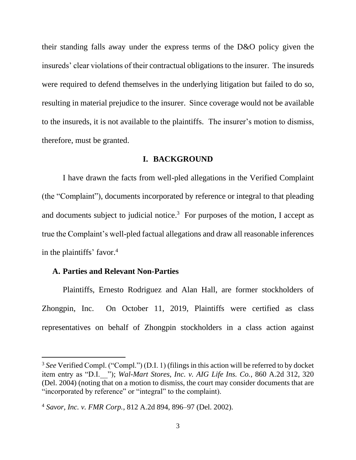their standing falls away under the express terms of the D&O policy given the insureds' clear violations of their contractual obligations to the insurer. The insureds were required to defend themselves in the underlying litigation but failed to do so, resulting in material prejudice to the insurer. Since coverage would not be available to the insureds, it is not available to the plaintiffs. The insurer's motion to dismiss, therefore, must be granted.

#### **I. BACKGROUND**

I have drawn the facts from well-pled allegations in the Verified Complaint (the "Complaint"), documents incorporated by reference or integral to that pleading and documents subject to judicial notice.<sup>3</sup> For purposes of the motion, I accept as true the Complaint's well-pled factual allegations and draw all reasonable inferences in the plaintiffs' favor.<sup>4</sup>

### **A. Parties and Relevant Non-Parties**

Plaintiffs, Ernesto Rodriguez and Alan Hall, are former stockholders of Zhongpin, Inc. On October 11, 2019, Plaintiffs were certified as class representatives on behalf of Zhongpin stockholders in a class action against

<sup>&</sup>lt;sup>3</sup> See Verified Compl. ("Compl.") (D.I. 1) (filings in this action will be referred to by docket item entry as "D.I.\_\_"); *Wal-Mart Stores, Inc. v. AIG Life Ins. Co.*, 860 A.2d 312, 320 (Del. 2004) (noting that on a motion to dismiss, the court may consider documents that are "incorporated by reference" or "integral" to the complaint).

<sup>4</sup> *Savor, Inc. v. FMR Corp.*, 812 A.2d 894, 896–97 (Del. 2002).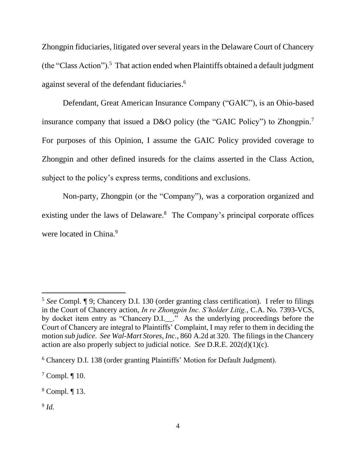Zhongpin fiduciaries, litigated over several years in the Delaware Court of Chancery (the "Class Action").<sup>5</sup> That action ended when Plaintiffs obtained a default judgment against several of the defendant fiduciaries. 6

Defendant, Great American Insurance Company ("GAIC"), is an Ohio-based insurance company that issued a D&O policy (the "GAIC Policy") to Zhongpin.<sup>7</sup> For purposes of this Opinion, I assume the GAIC Policy provided coverage to Zhongpin and other defined insureds for the claims asserted in the Class Action, subject to the policy's express terms, conditions and exclusions.

Non-party, Zhongpin (or the "Company"), was a corporation organized and existing under the laws of Delaware.<sup>8</sup> The Company's principal corporate offices were located in China.<sup>9</sup>

9 *Id.* 

<sup>5</sup> *See* Compl. ¶ 9; Chancery D.I. 130 (order granting class certification). I refer to filings in the Court of Chancery action, *In re Zhongpin Inc. S'holder Litig.*, C.A. No. 7393-VCS, by docket item entry as "Chancery D.I.<sub>\_\_\_.</sub>" As the underlying proceedings before the Court of Chancery are integral to Plaintiffs' Complaint, I may refer to them in deciding the motion *sub judice*. *See Wal-Mart Stores, Inc.*, 860 A.2d at 320. The filings in the Chancery action are also properly subject to judicial notice. *See* D.R.E. 202(d)(1)(c).

<sup>6</sup> Chancery D.I. 138 (order granting Plaintiffs' Motion for Default Judgment).

 $7$  Compl.  $\P$  10.

<sup>8</sup> Compl. ¶ 13.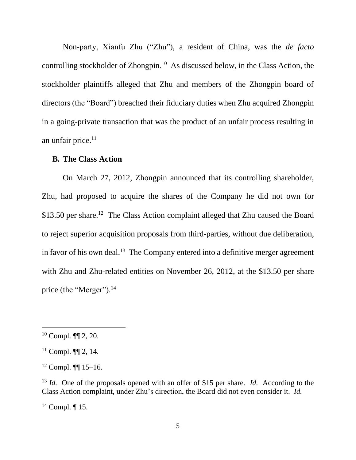Non-party, Xianfu Zhu ("Zhu"), a resident of China, was the *de facto* controlling stockholder of Zhongpin.<sup>10</sup> As discussed below, in the Class Action, the stockholder plaintiffs alleged that Zhu and members of the Zhongpin board of directors (the "Board") breached their fiduciary duties when Zhu acquired Zhongpin in a going-private transaction that was the product of an unfair process resulting in an unfair price. 11

#### **B. The Class Action**

On March 27, 2012, Zhongpin announced that its controlling shareholder, Zhu, had proposed to acquire the shares of the Company he did not own for \$13.50 per share.<sup>12</sup> The Class Action complaint alleged that Zhu caused the Board to reject superior acquisition proposals from third-parties, without due deliberation, in favor of his own deal.<sup>13</sup> The Company entered into a definitive merger agreement with Zhu and Zhu-related entities on November 26, 2012, at the \$13.50 per share price (the "Merger").<sup>14</sup>

<sup>10</sup> Compl. ¶¶ 2, 20.

 $11$  Compl.  $\P\P$  2, 14.

 $12$  Compl. **[1]** 15–16.

<sup>13</sup> *Id.* One of the proposals opened with an offer of \$15 per share. *Id.* According to the Class Action complaint, under Zhu's direction, the Board did not even consider it. *Id.* 

 $14$  Compl.  $\P$  15.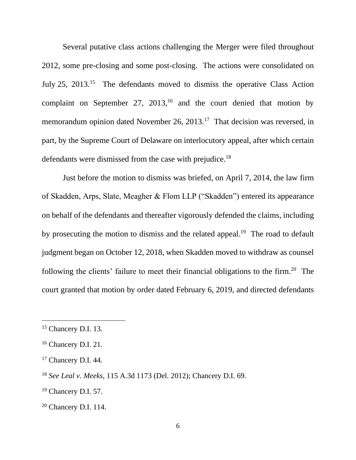Several putative class actions challenging the Merger were filed throughout 2012, some pre-closing and some post-closing. The actions were consolidated on July 25, 2013.<sup>15</sup> The defendants moved to dismiss the operative Class Action complaint on September 27,  $2013$ ,<sup>16</sup> and the court denied that motion by memorandum opinion dated November 26, 2013.<sup>17</sup> That decision was reversed, in part, by the Supreme Court of Delaware on interlocutory appeal, after which certain defendants were dismissed from the case with prejudice.<sup>18</sup>

Just before the motion to dismiss was briefed, on April 7, 2014, the law firm of Skadden, Arps, Slate, Meagher & Flom LLP ("Skadden") entered its appearance on behalf of the defendants and thereafter vigorously defended the claims, including by prosecuting the motion to dismiss and the related appeal.<sup>19</sup> The road to default judgment began on October 12, 2018, when Skadden moved to withdraw as counsel following the clients' failure to meet their financial obligations to the firm.<sup>20</sup> The court granted that motion by order dated February 6, 2019, and directed defendants

<sup>&</sup>lt;sup>15</sup> Chancery D.I. 13.

<sup>&</sup>lt;sup>16</sup> Chancery D.I. 21.

<sup>&</sup>lt;sup>17</sup> Chancery D.I. 44.

<sup>18</sup> *See Leal v. Meeks*, 115 A.3d 1173 (Del. 2012); Chancery D.I. 69.

<sup>19</sup> Chancery D.I. 57.

<sup>20</sup> Chancery D.I. 114.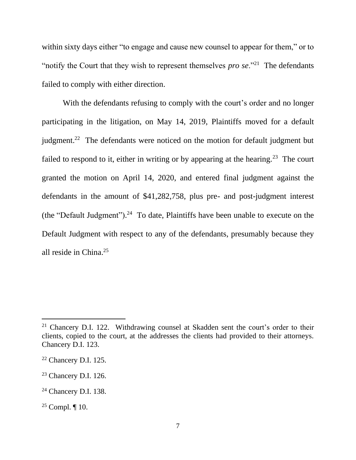within sixty days either "to engage and cause new counsel to appear for them," or to "notify the Court that they wish to represent themselves *pro se*."<sup>21</sup> The defendants failed to comply with either direction.

With the defendants refusing to comply with the court's order and no longer participating in the litigation, on May 14, 2019, Plaintiffs moved for a default judgment.<sup>22</sup> The defendants were noticed on the motion for default judgment but failed to respond to it, either in writing or by appearing at the hearing.<sup>23</sup> The court granted the motion on April 14, 2020, and entered final judgment against the defendants in the amount of \$41,282,758, plus pre- and post-judgment interest (the "Default Judgment").<sup>24</sup> To date, Plaintiffs have been unable to execute on the Default Judgment with respect to any of the defendants, presumably because they all reside in China. 25

<sup>21</sup> Chancery D.I. 122. Withdrawing counsel at Skadden sent the court's order to their clients, copied to the court, at the addresses the clients had provided to their attorneys. Chancery D.I. 123.

<sup>22</sup> Chancery D.I. 125.

<sup>23</sup> Chancery D.I. 126.

<sup>24</sup> Chancery D.I. 138.

<sup>&</sup>lt;sup>25</sup> Compl.  $\P$  10.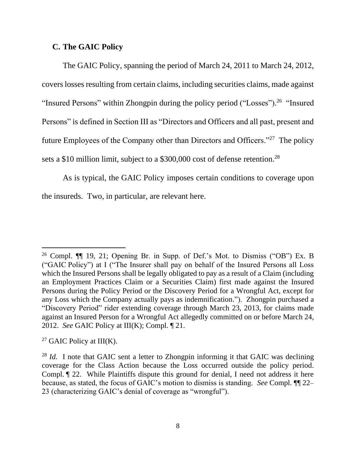# **C. The GAIC Policy**

The GAIC Policy, spanning the period of March 24, 2011 to March 24, 2012, coverslosses resulting from certain claims, including securities claims, made against "Insured Persons" within Zhongpin during the policy period ("Losses").<sup>26</sup> "Insured Persons" is defined in Section III as "Directors and Officers and all past, present and future Employees of the Company other than Directors and Officers."<sup>27</sup> The policy sets a \$10 million limit, subject to a \$300,000 cost of defense retention.<sup>28</sup>

As is typical, the GAIC Policy imposes certain conditions to coverage upon the insureds. Two, in particular, are relevant here.

<sup>27</sup> GAIC Policy at III(K).

<sup>&</sup>lt;sup>26</sup> Compl.  $\P$  19, 21; Opening Br. in Supp. of Def.'s Mot. to Dismiss ("OB") Ex. B ("GAIC Policy") at I ("The Insurer shall pay on behalf of the Insured Persons all Loss which the Insured Persons shall be legally obligated to pay as a result of a Claim (including an Employment Practices Claim or a Securities Claim) first made against the Insured Persons during the Policy Period or the Discovery Period for a Wrongful Act, except for any Loss which the Company actually pays as indemnification."). Zhongpin purchased a "Discovery Period" rider extending coverage through March 23, 2013, for claims made against an Insured Person for a Wrongful Act allegedly committed on or before March 24, 2012. *See* GAIC Policy at III(K); Compl. ¶ 21.

<sup>&</sup>lt;sup>28</sup> *Id.* I note that GAIC sent a letter to Zhongpin informing it that GAIC was declining coverage for the Class Action because the Loss occurred outside the policy period. Compl. ¶ 22. While Plaintiffs dispute this ground for denial, I need not address it here because, as stated, the focus of GAIC's motion to dismiss is standing. *See* Compl. ¶¶ 22– 23 (characterizing GAIC's denial of coverage as "wrongful").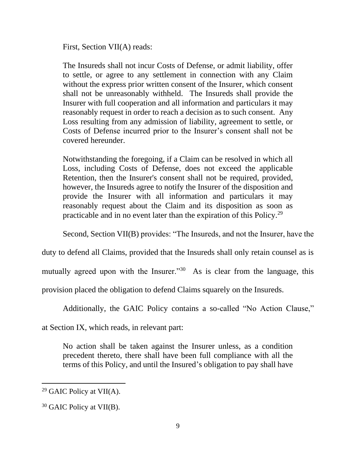First, Section VII(A) reads:

The Insureds shall not incur Costs of Defense, or admit liability, offer to settle, or agree to any settlement in connection with any Claim without the express prior written consent of the Insurer, which consent shall not be unreasonably withheld. The Insureds shall provide the Insurer with full cooperation and all information and particulars it may reasonably request in order to reach a decision as to such consent. Any Loss resulting from any admission of liability, agreement to settle, or Costs of Defense incurred prior to the Insurer's consent shall not be covered hereunder.

Notwithstanding the foregoing, if a Claim can be resolved in which all Loss, including Costs of Defense, does not exceed the applicable Retention, then the Insurer's consent shall not be required, provided, however, the Insureds agree to notify the Insurer of the disposition and provide the Insurer with all information and particulars it may reasonably request about the Claim and its disposition as soon as practicable and in no event later than the expiration of this Policy.<sup>29</sup>

Second, Section VII(B) provides: "The Insureds, and not the Insurer, have the

duty to defend all Claims, provided that the Insureds shall only retain counsel as is

mutually agreed upon with the Insurer."<sup>30</sup> As is clear from the language, this

provision placed the obligation to defend Claims squarely on the Insureds.

Additionally, the GAIC Policy contains a so-called "No Action Clause,"

at Section IX, which reads, in relevant part:

No action shall be taken against the Insurer unless, as a condition precedent thereto, there shall have been full compliance with all the terms of this Policy, and until the Insured's obligation to pay shall have

<sup>&</sup>lt;sup>29</sup> GAIC Policy at VII(A).

<sup>&</sup>lt;sup>30</sup> GAIC Policy at VII(B).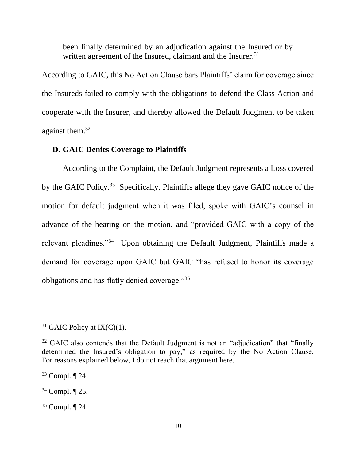been finally determined by an adjudication against the Insured or by written agreement of the Insured, claimant and the Insurer.<sup>31</sup>

According to GAIC, this No Action Clause bars Plaintiffs' claim for coverage since the Insureds failed to comply with the obligations to defend the Class Action and cooperate with the Insurer, and thereby allowed the Default Judgment to be taken against them.<sup>32</sup>

#### **D. GAIC Denies Coverage to Plaintiffs**

According to the Complaint, the Default Judgment represents a Loss covered by the GAIC Policy.<sup>33</sup> Specifically, Plaintiffs allege they gave GAIC notice of the motion for default judgment when it was filed, spoke with GAIC's counsel in advance of the hearing on the motion, and "provided GAIC with a copy of the relevant pleadings."<sup>34</sup> Upon obtaining the Default Judgment, Plaintiffs made a demand for coverage upon GAIC but GAIC "has refused to honor its coverage obligations and has flatly denied coverage."<sup>35</sup>

 $31$  GAIC Policy at IX(C)(1).

 $32$  GAIC also contends that the Default Judgment is not an "adjudication" that "finally determined the Insured's obligation to pay," as required by the No Action Clause. For reasons explained below, I do not reach that argument here.

<sup>33</sup> Compl. ¶ 24.

<sup>34</sup> Compl. ¶ 25.

<sup>35</sup> Compl. ¶ 24.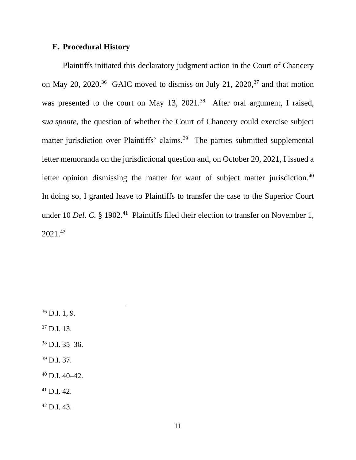## **E. Procedural History**

Plaintiffs initiated this declaratory judgment action in the Court of Chancery on May 20, 2020.<sup>36</sup> GAIC moved to dismiss on July 21, 2020,<sup>37</sup> and that motion was presented to the court on May 13,  $2021<sup>38</sup>$  After oral argument, I raised, *sua sponte*, the question of whether the Court of Chancery could exercise subject matter jurisdiction over Plaintiffs' claims.<sup>39</sup> The parties submitted supplemental letter memoranda on the jurisdictional question and, on October 20, 2021, I issued a letter opinion dismissing the matter for want of subject matter jurisdiction.<sup>40</sup> In doing so, I granted leave to Plaintiffs to transfer the case to the Superior Court under 10 *Del. C.* § 1902.<sup>41</sup> Plaintiffs filed their election to transfer on November 1, 2021.<sup>42</sup>

 $36$  D.I. 1, 9. <sup>37</sup> D.I. 13.  $38$  D.I. 35–36. <sup>39</sup> D.I. 37.  $40$  D.I.  $40 - 42$ . <sup>41</sup> D.I. 42.  $42$  D.I. 43.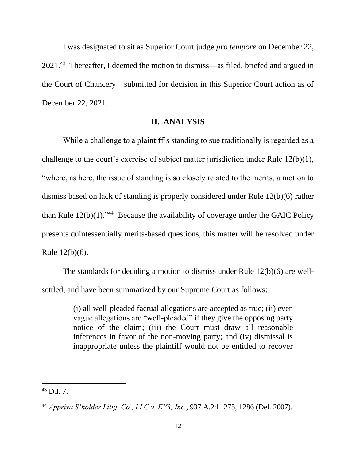I was designated to sit as Superior Court judge *pro tempore* on December 22, 2021.<sup>43</sup> Thereafter, I deemed the motion to dismiss—as filed, briefed and argued in the Court of Chancery––submitted for decision in this Superior Court action as of December 22, 2021.

#### **II. ANALYSIS**

While a challenge to a plaintiff's standing to sue traditionally is regarded as a challenge to the court's exercise of subject matter jurisdiction under Rule 12(b)(1), "where, as here, the issue of standing is so closely related to the merits, a motion to dismiss based on lack of standing is properly considered under Rule 12(b)(6) rather than Rule  $12(b)(1)$ ."<sup>44</sup> Because the availability of coverage under the GAIC Policy presents quintessentially merits-based questions, this matter will be resolved under Rule 12(b)(6).

The standards for deciding a motion to dismiss under Rule 12(b)(6) are wellsettled, and have been summarized by our Supreme Court as follows:

> (i) all well-pleaded factual allegations are accepted as true; (ii) even vague allegations are "well-pleaded" if they give the opposing party notice of the claim; (iii) the Court must draw all reasonable inferences in favor of the non-moving party; and (iv) dismissal is inappropriate unless the plaintiff would not be entitled to recover

 $^{43}$  D.I. 7.

<sup>44</sup> *Appriva S'holder Litig. Co., LLC v. EV3, Inc.*, 937 A.2d 1275, 1286 (Del. 2007).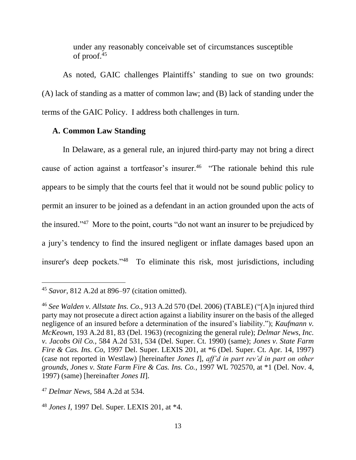under any reasonably conceivable set of circumstances susceptible of proof. $45$ 

As noted, GAIC challenges Plaintiffs' standing to sue on two grounds: (A) lack of standing as a matter of common law; and (B) lack of standing under the terms of the GAIC Policy. I address both challenges in turn.

## **A. Common Law Standing**

In Delaware, as a general rule, an injured third-party may not bring a direct cause of action against a tortfeasor's insurer.<sup>46</sup> "The rationale behind this rule appears to be simply that the courts feel that it would not be sound public policy to permit an insurer to be joined as a defendant in an action grounded upon the acts of the insured."<sup>47</sup> More to the point, courts "do not want an insurer to be prejudiced by a jury's tendency to find the insured negligent or inflate damages based upon an insurer's deep pockets."<sup>48</sup> To eliminate this risk, most jurisdictions, including

<sup>45</sup> *Savor*, 812 A.2d at 896–97 (citation omitted).

<sup>46</sup> *See Walden v. Allstate Ins. Co.*, 913 A.2d 570 (Del. 2006) (TABLE) ("[A]n injured third party may not prosecute a direct action against a liability insurer on the basis of the alleged negligence of an insured before a determination of the insured's liability."); *Kaufmann v. McKeown*, 193 A.2d 81, 83 (Del. 1963) (recognizing the general rule); *Delmar News, Inc. v. Jacobs Oil Co.*, 584 A.2d 531, 534 (Del. Super. Ct. 1990) (same); *Jones v. State Farm Fire & Cas. Ins. Co*, 1997 Del. Super. LEXIS 201, at \*6 (Del. Super. Ct. Apr. 14, 1997) (case not reported in Westlaw) [hereinafter *Jones I*], *aff'd in part rev'd in part on other grounds*, *Jones v. State Farm Fire & Cas. Ins. Co.*, 1997 WL 702570, at \*1 (Del. Nov. 4, 1997) (same) [hereinafter *Jones II*].

<sup>47</sup> *Delmar News*, 584 A.2d at 534.

<sup>48</sup> *Jones I*, 1997 Del. Super. LEXIS 201, at \*4.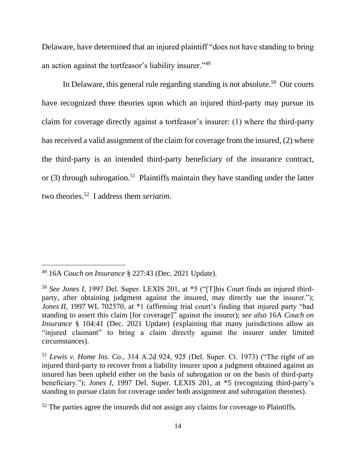Delaware, have determined that an injured plaintiff "does not have standing to bring an action against the tortfeasor's liability insurer."<sup>49</sup>

In Delaware, this general rule regarding standing is not absolute.<sup>50</sup> Our courts have recognized three theories upon which an injured third-party may pursue its claim for coverage directly against a tortfeasor's insurer: (1) where the third-party has received a valid assignment of the claim for coverage from the insured, (2) where the third-party is an intended third-party beneficiary of the insurance contract, or  $(3)$  through subrogation.<sup>51</sup> Plaintiffs maintain they have standing under the latter two theories.<sup>52</sup> I address them *seriatim*.

<sup>49</sup> 16A *Couch on Insurance* § 227:43 (Dec. 2021 Update).

<sup>50</sup> *See Jones I*, 1997 Del. Super. LEXIS 201, at \*5 ("[T]his Court finds an injured thirdparty, after obtaining judgment against the insured, may directly sue the insurer."); *Jones II*, 1997 WL 702570, at \*1 (affirming trial court's finding that injured party "had standing to assert this claim [for coverage]" against the insurer); *see also* 16A *Couch on Insurance* § 104:41 (Dec. 2021 Update) (explaining that many jurisdictions allow an "injured claimant" to bring a claim directly against the insurer under limited circumstances).

<sup>51</sup> *Lewis v. Home Ins. Co.*, 314 A.2d 924, 925 (Del. Super. Ct. 1973) ("The right of an injured third-party to recover from a liability insurer upon a judgment obtained against an insured has been upheld either on the basis of subrogation or on the basis of third-party beneficiary."); *Jones I*, 1997 Del. Super. LEXIS 201, at \*5 (recognizing third-party's standing to pursue claim for coverage under both assignment and subrogation theories).

 $52$  The parties agree the insureds did not assign any claims for coverage to Plaintiffs.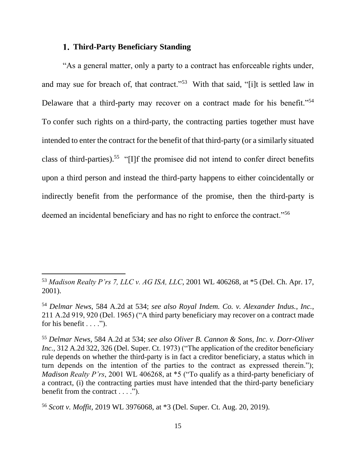# **Third-Party Beneficiary Standing**

"As a general matter, only a party to a contract has enforceable rights under, and may sue for breach of, that contract."<sup>53</sup> With that said, "[i]t is settled law in Delaware that a third-party may recover on a contract made for his benefit."<sup>54</sup> To confer such rights on a third-party, the contracting parties together must have intended to enter the contract for the benefit of that third-party (or a similarly situated class of third-parties). 55 "[I]f the promisee did not intend to confer direct benefits upon a third person and instead the third-party happens to either coincidentally or indirectly benefit from the performance of the promise, then the third-party is deemed an incidental beneficiary and has no right to enforce the contract."<sup>56</sup>

<sup>53</sup> *Madison Realty P'rs 7, LLC v. AG ISA, LLC*, 2001 WL 406268, at \*5 (Del. Ch. Apr. 17, 2001).

<sup>54</sup> *Delmar News*, 584 A.2d at 534; *see also Royal Indem. Co. v. Alexander Indus.*, *Inc.*, 211 A.2d 919, 920 (Del. 1965) ("A third party beneficiary may recover on a contract made for his benefit  $\dots$ .").

<sup>55</sup> *Delmar News*, 584 A.2d at 534; *see also Oliver B. Cannon & Sons, Inc. v. Dorr-Oliver Inc.*, 312 A.2d 322, 326 (Del. Super. Ct. 1973) ("The application of the creditor beneficiary rule depends on whether the third-party is in fact a creditor beneficiary, a status which in turn depends on the intention of the parties to the contract as expressed therein."); *Madison Realty P'rs*, 2001 WL 406268, at \*5 ("To qualify as a third-party beneficiary of a contract, (i) the contracting parties must have intended that the third-party beneficiary benefit from the contract . . . .").

<sup>56</sup> *Scott v. Moffit*, 2019 WL 3976068, at \*3 (Del. Super. Ct. Aug. 20, 2019).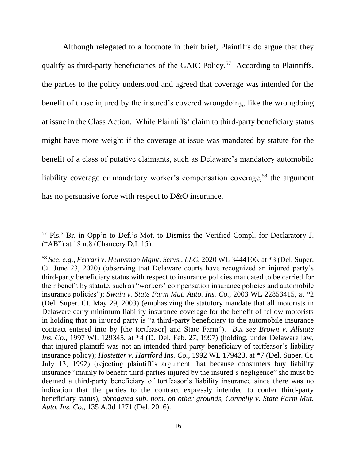Although relegated to a footnote in their brief, Plaintiffs do argue that they qualify as third-party beneficiaries of the GAIC Policy.<sup>57</sup> According to Plaintiffs, the parties to the policy understood and agreed that coverage was intended for the benefit of those injured by the insured's covered wrongdoing, like the wrongdoing at issue in the Class Action. While Plaintiffs' claim to third-party beneficiary status might have more weight if the coverage at issue was mandated by statute for the benefit of a class of putative claimants, such as Delaware's mandatory automobile liability coverage or mandatory worker's compensation coverage,<sup>58</sup> the argument has no persuasive force with respect to D&O insurance.

<sup>57</sup> Pls.' Br. in Opp'n to Def.'s Mot. to Dismiss the Verified Compl. for Declaratory J. ("AB") at 18 n.8 (Chancery D.I. 15).

<sup>58</sup> *See, e.g.*, *Ferrari v. Helmsman Mgmt. Servs., LLC*, 2020 WL 3444106, at \*3 (Del. Super. Ct. June 23, 2020) (observing that Delaware courts have recognized an injured party's third-party beneficiary status with respect to insurance policies mandated to be carried for their benefit by statute, such as "workers' compensation insurance policies and automobile insurance policies"); *Swain v. State Farm Mut. Auto. Ins. Co.*, 2003 WL 22853415, at \*2 (Del. Super. Ct. May 29, 2003) (emphasizing the statutory mandate that all motorists in Delaware carry minimum liability insurance coverage for the benefit of fellow motorists in holding that an injured party is "a third-party beneficiary to the automobile insurance contract entered into by [the tortfeasor] and State Farm"). *But see Brown v. Allstate Ins. Co.*, 1997 WL 129345, at \*4 (D. Del. Feb. 27, 1997) (holding, under Delaware law, that injured plaintiff was not an intended third-party beneficiary of tortfeasor's liability insurance policy); *Hostetter v. Hartford Ins. Co.*, 1992 WL 179423, at \*7 (Del. Super. Ct. July 13, 1992) (rejecting plaintiff's argument that because consumers buy liability insurance "mainly to benefit third-parties injured by the insured's negligence" she must be deemed a third-party beneficiary of tortfeasor's liability insurance since there was no indication that the parties to the contract expressly intended to confer third-party beneficiary status), *abrogated sub. nom. on other grounds, Connelly v. State Farm Mut. Auto. Ins. Co.*, 135 A.3d 1271 (Del. 2016).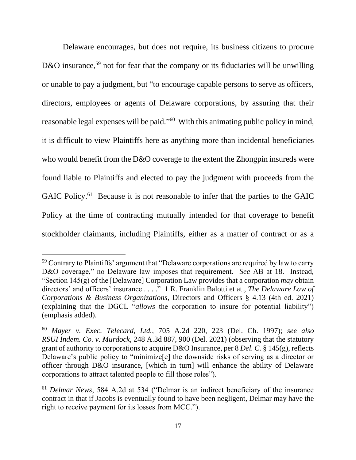Delaware encourages, but does not require, its business citizens to procure D&O insurance,<sup>59</sup> not for fear that the company or its fiduciaries will be unwilling or unable to pay a judgment, but "to encourage capable persons to serve as officers, directors, employees or agents of Delaware corporations, by assuring that their reasonable legal expenses will be paid."<sup>60</sup> With this animating public policy in mind, it is difficult to view Plaintiffs here as anything more than incidental beneficiaries who would benefit from the D&O coverage to the extent the Zhongpin insureds were found liable to Plaintiffs and elected to pay the judgment with proceeds from the GAIC Policy.<sup>61</sup> Because it is not reasonable to infer that the parties to the GAIC Policy at the time of contracting mutually intended for that coverage to benefit stockholder claimants, including Plaintiffs, either as a matter of contract or as a

<sup>&</sup>lt;sup>59</sup> Contrary to Plaintiffs' argument that "Delaware corporations are required by law to carry D&O coverage," no Delaware law imposes that requirement. *See* AB at 18. Instead, "Section 145(g) of the [Delaware] Corporation Law provides that a corporation *may* obtain directors' and officers' insurance . . . ." 1 R. Franklin Balotti et at., *The Delaware Law of Corporations & Business Organizations*, Directors and Officers § 4.13 (4th ed. 2021) (explaining that the DGCL "*allows* the corporation to insure for potential liability") (emphasis added).

<sup>60</sup> *Mayer v. Exec. Telecard, Ltd.*, 705 A.2d 220, 223 (Del. Ch. 1997); *see also RSUI Indem. Co. v. Murdock*, 248 A.3d 887, 900 (Del. 2021) (observing that the statutory grant of authority to corporations to acquire D&O Insurance, per 8 *Del. C.* § 145(g), reflects Delaware's public policy to "minimize[e] the downside risks of serving as a director or officer through D&O insurance, [which in turn] will enhance the ability of Delaware corporations to attract talented people to fill those roles").

<sup>61</sup> *Delmar News*, 584 A.2d at 534 ("Delmar is an indirect beneficiary of the insurance contract in that if Jacobs is eventually found to have been negligent, Delmar may have the right to receive payment for its losses from MCC.").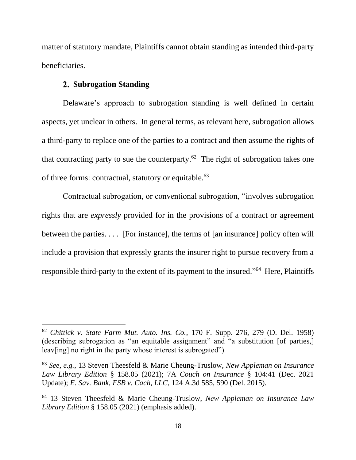matter of statutory mandate, Plaintiffs cannot obtain standing as intended third-party beneficiaries.

# **Subrogation Standing**

Delaware's approach to subrogation standing is well defined in certain aspects, yet unclear in others. In general terms, as relevant here, subrogation allows a third-party to replace one of the parties to a contract and then assume the rights of that contracting party to sue the counterparty.<sup>62</sup> The right of subrogation takes one of three forms: contractual, statutory or equitable.<sup>63</sup>

Contractual subrogation, or conventional subrogation, "involves subrogation rights that are *expressly* provided for in the provisions of a contract or agreement between the parties. . . . [For instance], the terms of [an insurance] policy often will include a provision that expressly grants the insurer right to pursue recovery from a responsible third-party to the extent of its payment to the insured."<sup>64</sup> Here, Plaintiffs

<sup>62</sup> *Chittick v. State Farm Mut. Auto. Ins. Co.*, 170 F. Supp. 276, 279 (D. Del. 1958) (describing subrogation as "an equitable assignment" and "a substitution [of parties,] leav[ing] no right in the party whose interest is subrogated").

<sup>63</sup> *See, e.g.*, 13 Steven Theesfeld & Marie Cheung-Truslow, *New Appleman on Insurance Law Library Edition* § 158.05 (2021); 7A *Couch on Insurance* § 104:41 (Dec. 2021 Update); *E. Sav. Bank, FSB v. Cach, LLC*, 124 A.3d 585, 590 (Del. 2015).

<sup>64</sup> 13 Steven Theesfeld & Marie Cheung-Truslow, *New Appleman on Insurance Law Library Edition* § 158.05 (2021) (emphasis added).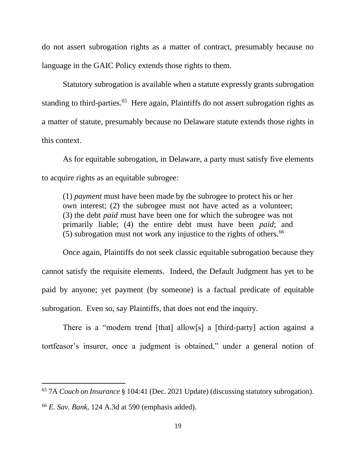do not assert subrogation rights as a matter of contract, presumably because no language in the GAIC Policy extends those rights to them.

Statutory subrogation is available when a statute expressly grants subrogation standing to third-parties.<sup>65</sup> Here again, Plaintiffs do not assert subrogation rights as a matter of statute, presumably because no Delaware statute extends those rights in this context.

As for equitable subrogation, in Delaware, a party must satisfy five elements to acquire rights as an equitable subrogee:

(1) *payment* must have been made by the subrogee to protect his or her own interest; (2) the subrogee must not have acted as a volunteer; (3) the debt *paid* must have been one for which the subrogee was not primarily liable; (4) the entire debt must have been *paid*; and  $(5)$  subrogation must not work any injustice to the rights of others.<sup>66</sup>

Once again, Plaintiffs do not seek classic equitable subrogation because they cannot satisfy the requisite elements. Indeed, the Default Judgment has yet to be paid by anyone; yet payment (by someone) is a factual predicate of equitable subrogation. Even so, say Plaintiffs, that does not end the inquiry.

There is a "modern trend [that] allow[s] a [third-party] action against a tortfeasor's insurer, once a judgment is obtained," under a general notion of

<sup>65</sup> 7A *Couch on Insurance* § 104:41 (Dec. 2021 Update) (discussing statutory subrogation). <sup>66</sup> *E. Sav. Bank*, 124 A.3d at 590 (emphasis added).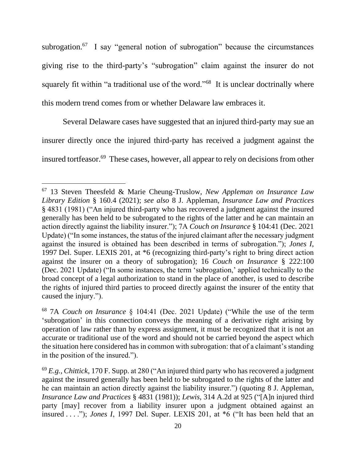subrogation.<sup>67</sup> I say "general notion of subrogation" because the circumstances giving rise to the third-party's "subrogation" claim against the insurer do not squarely fit within "a traditional use of the word."<sup>68</sup> It is unclear doctrinally where this modern trend comes from or whether Delaware law embraces it.

Several Delaware cases have suggested that an injured third-party may sue an insurer directly once the injured third-party has received a judgment against the insured tortfeasor. <sup>69</sup> These cases, however, all appear to rely on decisions from other

<sup>67</sup> 13 Steven Theesfeld & Marie Cheung-Truslow, *New Appleman on Insurance Law Library Edition* § 160.4 (2021); *see also* 8 J. Appleman, *Insurance Law and Practices*  § 4831 (1981) ("An injured third-party who has recovered a judgment against the insured generally has been held to be subrogated to the rights of the latter and he can maintain an action directly against the liability insurer."); 7A *Couch on Insurance* § 104:41 (Dec. 2021 Update) ("In some instances, the status of the injured claimant after the necessary judgment against the insured is obtained has been described in terms of subrogation."); *Jones I*, 1997 Del. Super. LEXIS 201, at \*6 (recognizing third-party's right to bring direct action against the insurer on a theory of subrogation); 16 *Couch on Insurance* § 222:100 (Dec. 2021 Update) ("In some instances, the term 'subrogation,' applied technically to the broad concept of a legal authorization to stand in the place of another, is used to describe the rights of injured third parties to proceed directly against the insurer of the entity that caused the injury.").

<sup>68</sup> 7A *Couch on Insurance* § 104:41 (Dec. 2021 Update) ("While the use of the term 'subrogation' in this connection conveys the meaning of a derivative right arising by operation of law rather than by express assignment, it must be recognized that it is not an accurate or traditional use of the word and should not be carried beyond the aspect which the situation here considered has in common with subrogation: that of a claimant's standing in the position of the insured.").

<sup>69</sup> *E.g.*, *Chittick*, 170 F. Supp. at 280 ("An injured third party who has recovered a judgment against the insured generally has been held to be subrogated to the rights of the latter and he can maintain an action directly against the liability insurer.") (quoting 8 J. Appleman, *Insurance Law and Practices* § 4831 (1981)); *Lewis*, 314 A.2d at 925 ("[A]n injured third party [may] recover from a liability insurer upon a judgment obtained against an insured . . . ."); *Jones I*, 1997 Del. Super. LEXIS 201, at \*6 ("It has been held that an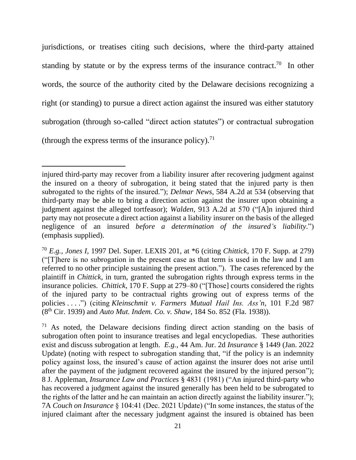jurisdictions, or treatises citing such decisions, where the third-party attained standing by statute or by the express terms of the insurance contract.<sup>70</sup> In other words, the source of the authority cited by the Delaware decisions recognizing a right (or standing) to pursue a direct action against the insured was either statutory subrogation (through so-called "direct action statutes") or contractual subrogation (through the express terms of the insurance policy).<sup>71</sup>

injured third-party may recover from a liability insurer after recovering judgment against the insured on a theory of subrogation, it being stated that the injured party is then subrogated to the rights of the insured."); *Delmar News*, 584 A.2d at 534 (observing that third-party may be able to bring a direction action against the insurer upon obtaining a judgment against the alleged tortfeasor); *Walden*, 913 A.2d at 570 ("[A]n injured third party may not prosecute a direct action against a liability insurer on the basis of the alleged negligence of an insured *before a determination of the insured's liability*.") (emphasis supplied).

<sup>70</sup> *E.g.*, *Jones I*, 1997 Del. Super. LEXIS 201, at \*6 (citing *Chittick*, 170 F. Supp. at 279) ("[T]here is no subrogation in the present case as that term is used in the law and I am referred to no other principle sustaining the present action."). The cases referenced by the plaintiff in *Chittick*, in turn, granted the subrogation rights through express terms in the insurance policies. *Chittick*, 170 F. Supp at 279–80 ("[Those] courts considered the rights of the injured party to be contractual rights growing out of express terms of the policies . . . .") (citing *Kleinschmit v. Farmers Mutual Hail Ins. Ass'n*, 101 F.2d 987 (8th Cir. 1939) and *Auto Mut. Indem. Co. v. Shaw*, 184 So. 852 (Fla. 1938)).

 $71$  As noted, the Delaware decisions finding direct action standing on the basis of subrogation often point to insurance treatises and legal encyclopedias. These authorities exist and discuss subrogation at length. *E.g.*, 44 Am. Jur. 2d *Insurance* § 1449 (Jan. 2022 Update) (noting with respect to subrogation standing that, "if the policy is an indemnity policy against loss, the insured's cause of action against the insurer does not arise until after the payment of the judgment recovered against the insured by the injured person"); 8 J. Appleman, *Insurance Law and Practices* § 4831 (1981) ("An injured third-party who has recovered a judgment against the insured generally has been held to be subrogated to the rights of the latter and he can maintain an action directly against the liability insurer."); 7A *Couch on Insurance* § 104:41 (Dec. 2021 Update) ("In some instances, the status of the injured claimant after the necessary judgment against the insured is obtained has been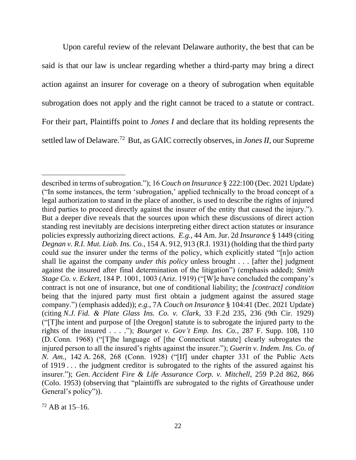Upon careful review of the relevant Delaware authority, the best that can be said is that our law is unclear regarding whether a third-party may bring a direct action against an insurer for coverage on a theory of subrogation when equitable subrogation does not apply and the right cannot be traced to a statute or contract. For their part, Plaintiffs point to *Jones I* and declare that its holding represents the settled law of Delaware.<sup>72</sup> But, as GAIC correctly observes, in *Jones II*, our Supreme

described in terms of subrogation."); 16 *Couch on Insurance* § 222:100 (Dec. 2021 Update) ("In some instances, the term 'subrogation,' applied technically to the broad concept of a legal authorization to stand in the place of another, is used to describe the rights of injured third parties to proceed directly against the insurer of the entity that caused the injury."). But a deeper dive reveals that the sources upon which these discussions of direct action standing rest inevitably are decisions interpreting either direct action statutes or insurance policies expressly authorizing direct actions. *E.g.*, 44 Am. Jur. 2d *Insurance* § 1449 (citing *Degnan v. R.I. Mut. Liab. Ins. Co.*, 154 A. 912, 913 (R.I. 1931) (holding that the third party could sue the insurer under the terms of the policy, which explicitly stated "[n]o action shall lie against the company *under this policy* unless brought . . . [after the] judgment against the insured after final determination of the litigation") (emphasis added); *Smith Stage Co. v. Eckert*, 184 P. 1001, 1003 (Ariz. 1919) ("[W]e have concluded the company's contract is not one of insurance, but one of conditional liability; the *[contract] condition*  being that the injured party must first obtain a judgment against the assured stage company.") (emphasis added)); *e.g.*, 7A *Couch on Insurance* § 104:41 (Dec. 2021 Update) (citing *N.J. Fid. & Plate Glass Ins. Co. v. Clark*, 33 F.2d 235, 236 (9th Cir. 1929) ("[T]he intent and purpose of [the Oregon] statute is to subrogate the injured party to the rights of the insured . . . ."); *Bourget v. Gov't Emp. Ins. Co.*, 287 F. Supp. 108, 110 (D. Conn. 1968) ("[T]he language of [the Connecticut statute] clearly subrogates the injured person to all the insured's rights against the insurer."); *Guerin v. Indem. Ins. Co. of N. Am.*, 142 A. 268, 268 (Conn. 1928) ("[If] under chapter 331 of the Public Acts of 1919 . . . the judgment creditor is subrogated to the rights of the assured against his insurer."); *Gen. Accident Fire & Life Assurance Corp. v. Mitchell*, 259 P.2d 862, 866 (Colo. 1953) (observing that "plaintiffs are subrogated to the rights of Greathouse under General's policy")).

 $72$  AB at 15–16.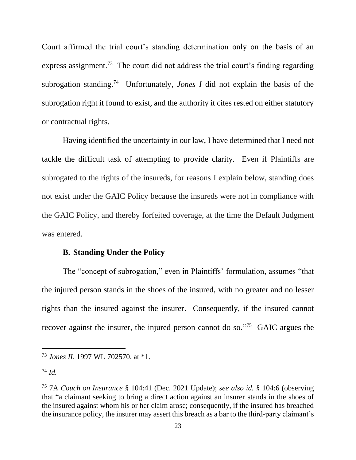Court affirmed the trial court's standing determination only on the basis of an express assignment.<sup>73</sup> The court did not address the trial court's finding regarding subrogation standing.<sup>74</sup> Unfortunately, *Jones I* did not explain the basis of the subrogation right it found to exist, and the authority it cites rested on either statutory or contractual rights.

Having identified the uncertainty in our law, I have determined that I need not tackle the difficult task of attempting to provide clarity. Even if Plaintiffs are subrogated to the rights of the insureds, for reasons I explain below, standing does not exist under the GAIC Policy because the insureds were not in compliance with the GAIC Policy, and thereby forfeited coverage, at the time the Default Judgment was entered.

#### **B. Standing Under the Policy**

The "concept of subrogation," even in Plaintiffs' formulation, assumes "that the injured person stands in the shoes of the insured, with no greater and no lesser rights than the insured against the insurer. Consequently, if the insured cannot recover against the insurer, the injured person cannot do so."<sup>75</sup> GAIC argues the

<sup>73</sup> *Jones II,* 1997 WL 702570, at \*1.

 $^{74}$  *Id.* 

<sup>75</sup> 7A *Couch on Insurance* § 104:41 (Dec. 2021 Update); *see also id.* § 104:6 (observing that "a claimant seeking to bring a direct action against an insurer stands in the shoes of the insured against whom his or her claim arose; consequently, if the insured has breached the insurance policy, the insurer may assert this breach as a bar to the third-party claimant's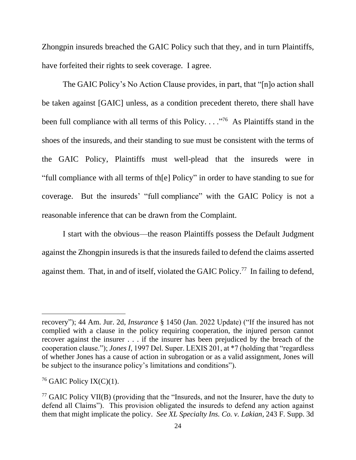Zhongpin insureds breached the GAIC Policy such that they, and in turn Plaintiffs, have forfeited their rights to seek coverage. I agree.

The GAIC Policy's No Action Clause provides, in part, that "[n]o action shall be taken against [GAIC] unless, as a condition precedent thereto, there shall have been full compliance with all terms of this Policy...."<sup>76</sup> As Plaintiffs stand in the shoes of the insureds, and their standing to sue must be consistent with the terms of the GAIC Policy, Plaintiffs must well-plead that the insureds were in "full compliance with all terms of th[e] Policy" in order to have standing to sue for coverage. But the insureds' "full compliance" with the GAIC Policy is not a reasonable inference that can be drawn from the Complaint.

I start with the obvious––the reason Plaintiffs possess the Default Judgment against the Zhongpin insureds is that the insureds failed to defend the claims asserted against them. That, in and of itself, violated the GAIC Policy.<sup>77</sup> In failing to defend,

recovery"); 44 Am. Jur. 2d, *Insurance* § 1450 (Jan. 2022 Update) ("If the insured has not complied with a clause in the policy requiring cooperation, the injured person cannot recover against the insurer . . . if the insurer has been prejudiced by the breach of the cooperation clause."); *Jones I*, 1997 Del. Super. LEXIS 201, at \*7 (holding that "regardless of whether Jones has a cause of action in subrogation or as a valid assignment, Jones will be subject to the insurance policy's limitations and conditions").

<sup>&</sup>lt;sup>76</sup> GAIC Policy IX(C)(1).

<sup>&</sup>lt;sup>77</sup> GAIC Policy VII(B) (providing that the "Insureds, and not the Insurer, have the duty to defend all Claims"). This provision obligated the insureds to defend any action against them that might implicate the policy. *See XL Specialty Ins. Co. v. Lakian*, 243 F. Supp. 3d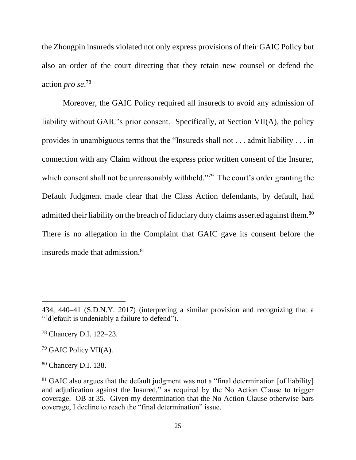the Zhongpin insureds violated not only express provisions of their GAIC Policy but also an order of the court directing that they retain new counsel or defend the action *pro se*. 78

Moreover, the GAIC Policy required all insureds to avoid any admission of liability without GAIC's prior consent. Specifically, at Section VII(A), the policy provides in unambiguous terms that the "Insureds shall not . . . admit liability . . . in connection with any Claim without the express prior written consent of the Insurer, which consent shall not be unreasonably withheld."<sup>79</sup> The court's order granting the Default Judgment made clear that the Class Action defendants, by default, had admitted their liability on the breach of fiduciary duty claims asserted against them.<sup>80</sup> There is no allegation in the Complaint that GAIC gave its consent before the insureds made that admission.<sup>81</sup>

<sup>434, 440–41 (</sup>S.D.N.Y. 2017) (interpreting a similar provision and recognizing that a "[d]efault is undeniably a failure to defend")*.* 

<sup>78</sup> Chancery D.I. 122–23.

<sup>79</sup> GAIC Policy VII(A).

<sup>80</sup> Chancery D.I. 138.

 $81$  GAIC also argues that the default judgment was not a "final determination [of liability] and adjudication against the Insured," as required by the No Action Clause to trigger coverage. OB at 35. Given my determination that the No Action Clause otherwise bars coverage, I decline to reach the "final determination" issue.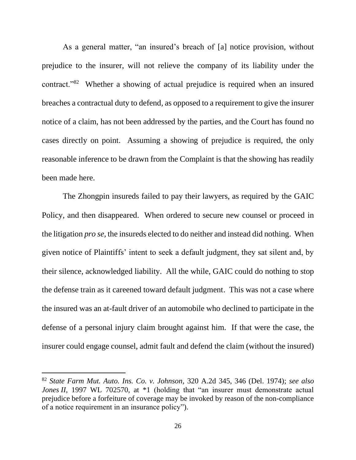As a general matter, "an insured's breach of [a] notice provision, without prejudice to the insurer, will not relieve the company of its liability under the contract."<sup>82</sup> Whether a showing of actual prejudice is required when an insured breaches a contractual duty to defend, as opposed to a requirement to give the insurer notice of a claim, has not been addressed by the parties, and the Court has found no cases directly on point. Assuming a showing of prejudice is required, the only reasonable inference to be drawn from the Complaint is that the showing has readily been made here.

The Zhongpin insureds failed to pay their lawyers, as required by the GAIC Policy, and then disappeared. When ordered to secure new counsel or proceed in the litigation *pro se*, the insureds elected to do neither and instead did nothing. When given notice of Plaintiffs' intent to seek a default judgment, they sat silent and, by their silence, acknowledged liability. All the while, GAIC could do nothing to stop the defense train as it careened toward default judgment. This was not a case where the insured was an at-fault driver of an automobile who declined to participate in the defense of a personal injury claim brought against him. If that were the case, the insurer could engage counsel, admit fault and defend the claim (without the insured)

<sup>82</sup> *State Farm Mut. Auto. Ins. Co. v. Johnson*, 320 A.2d 345, 346 (Del. 1974); *see also Jones II*, 1997 WL 702570, at \*1 (holding that "an insurer must demonstrate actual prejudice before a forfeiture of coverage may be invoked by reason of the non-compliance of a notice requirement in an insurance policy").